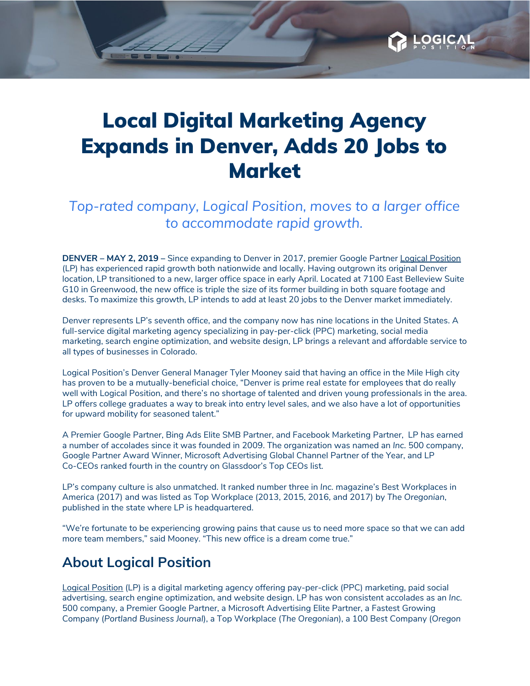

OGIC

*Top-rated company, Logical Position, moves to a larger office to accommodate rapid growth.*

**DENVER – MAY 2, 2019 –** Since expanding to Denver in 2017, premier Google Partner Logical [Position](http://www.logicalposition.com/) (LP) has experienced rapid growth both nationwide and locally. Having outgrown its original Denver location, LP transitioned to a new, larger office space in early April. Located at 7100 East Belleview Suite G10 in Greenwood, the new office is triple the size of its former building in both square footage and desks. To maximize this growth, LP intends to add at least 20 jobs to the Denver market immediately.

Denver represents LP's seventh office, and the company now has nine locations in the United States. A full-service digital marketing agency specializing in pay-per-click (PPC) marketing, social media marketing, search engine optimization, and website design, LP brings a relevant and affordable service to all types of businesses in Colorado.

Logical Position's Denver General Manager Tyler Mooney said that having an office in the Mile High city has proven to be a mutually-beneficial choice, "Denver is prime real estate for employees that do really well with Logical Position, and there's no shortage of talented and driven young professionals in the area. LP offers college graduates a way to break into entry level sales, and we also have a lot of opportunities for upward mobility for seasoned talent."

A Premier Google Partner, Bing Ads Elite SMB Partner, and Facebook Marketing Partner, LP has earned a number of accolades since it was founded in 2009. The organization was named an *Inc.* 500 company, Google Partner Award Winner, Microsoft Advertising Global Channel Partner of the Year, and LP Co-CEOs ranked fourth in the country on Glassdoor's Top CEOs list.

LP's company culture is also unmatched. It ranked number three in *Inc.* magazine's Best Workplaces in America (2017) and was listed as Top Workplace (2013, 2015, 2016, and 2017) by *The Oregonian*, published in the state where LP is headquartered.

"We're fortunate to be experiencing growing pains that cause us to need more space so that we can add more team members," said Mooney. "This new office is a dream come true."

## **About Logical Position**

Logical [Position](http://www.logicalposition.com/) (LP) is a digital marketing agency offering pay-per-click (PPC) marketing, paid social advertising, search engine optimization, and website design. LP has won consistent accolades as an *Inc.* 500 company, a Premier Google Partner, a Microsoft Advertising Elite Partner, a Fastest Growing Company (*Portland Business Journal*), a Top Workplace (*The Oregonian*), a 100 Best Company (*Oregon*